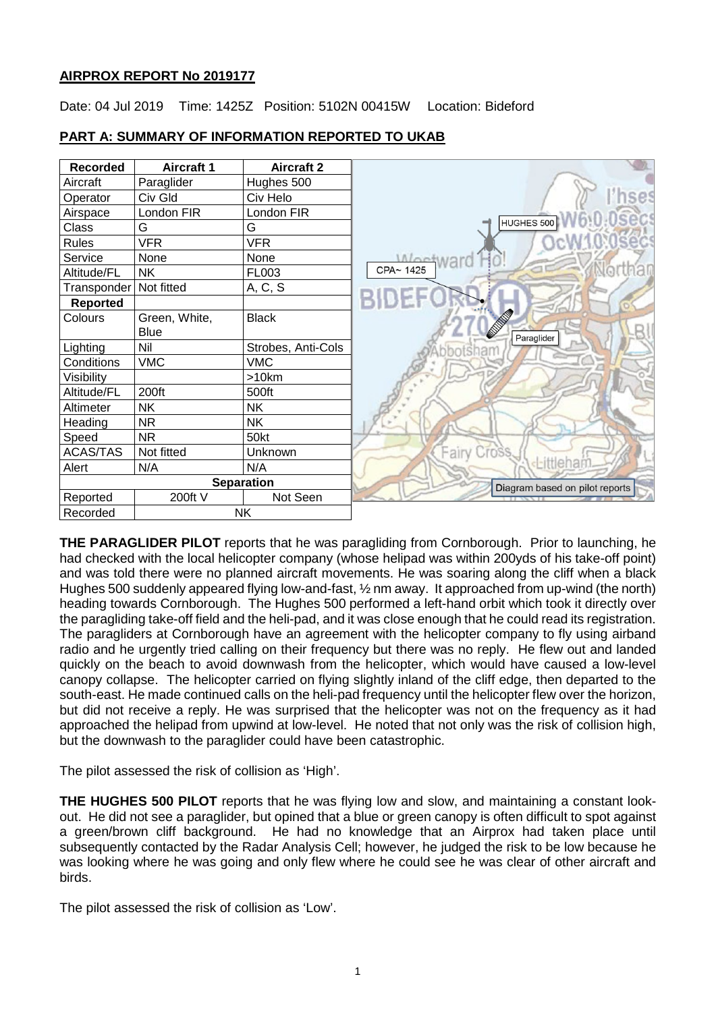# **AIRPROX REPORT No 2019177**

Date: 04 Jul 2019 Time: 1425Z Position: 5102N 00415W Location: Bideford



# **PART A: SUMMARY OF INFORMATION REPORTED TO UKAB**

**THE PARAGLIDER PILOT** reports that he was paragliding from Cornborough. Prior to launching, he had checked with the local helicopter company (whose helipad was within 200yds of his take-off point) and was told there were no planned aircraft movements. He was soaring along the cliff when a black Hughes 500 suddenly appeared flying low-and-fast, ½ nm away. It approached from up-wind (the north) heading towards Cornborough. The Hughes 500 performed a left-hand orbit which took it directly over the paragliding take-off field and the heli-pad, and it was close enough that he could read its registration. The paragliders at Cornborough have an agreement with the helicopter company to fly using airband radio and he urgently tried calling on their frequency but there was no reply. He flew out and landed quickly on the beach to avoid downwash from the helicopter, which would have caused a low-level canopy collapse. The helicopter carried on flying slightly inland of the cliff edge, then departed to the south-east. He made continued calls on the heli-pad frequency until the helicopter flew over the horizon, but did not receive a reply. He was surprised that the helicopter was not on the frequency as it had approached the helipad from upwind at low-level. He noted that not only was the risk of collision high, but the downwash to the paraglider could have been catastrophic.

The pilot assessed the risk of collision as 'High'.

**THE HUGHES 500 PILOT** reports that he was flying low and slow, and maintaining a constant lookout. He did not see a paraglider, but opined that a blue or green canopy is often difficult to spot against a green/brown cliff background. He had no knowledge that an Airprox had taken place until subsequently contacted by the Radar Analysis Cell; however, he judged the risk to be low because he was looking where he was going and only flew where he could see he was clear of other aircraft and birds.

The pilot assessed the risk of collision as 'Low'.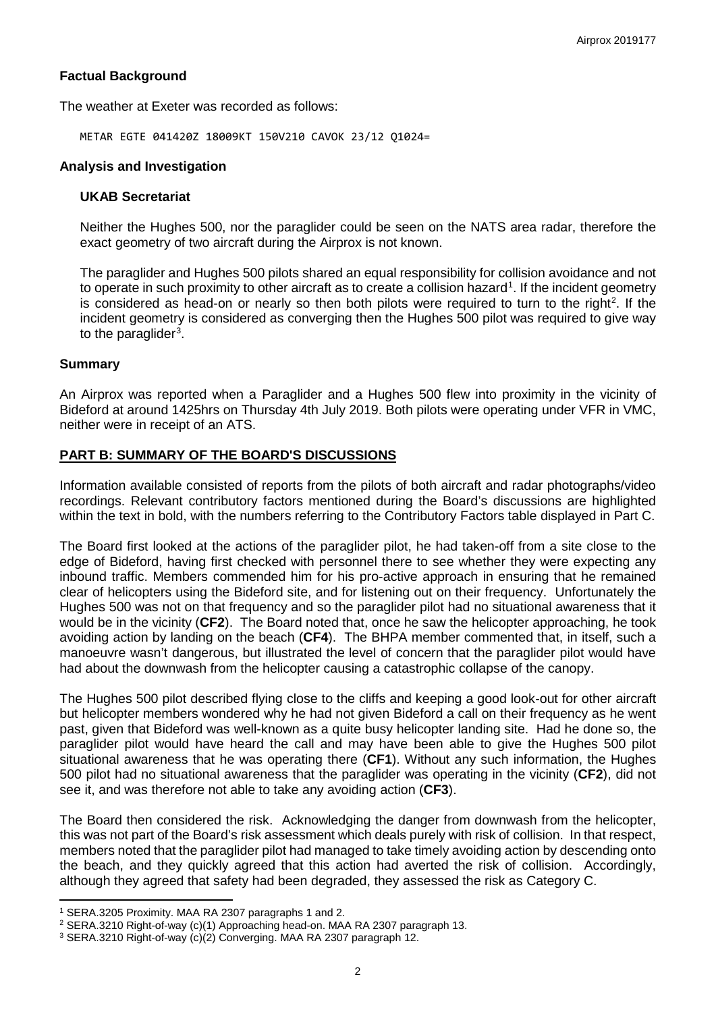# **Factual Background**

The weather at Exeter was recorded as follows:

METAR EGTE 041420Z 18009KT 150V210 CAVOK 23/12 Q1024=

#### **Analysis and Investigation**

#### **UKAB Secretariat**

Neither the Hughes 500, nor the paraglider could be seen on the NATS area radar, therefore the exact geometry of two aircraft during the Airprox is not known.

The paraglider and Hughes 500 pilots shared an equal responsibility for collision avoidance and not to operate in such proximity to other aircraft as to create a collision hazard<sup>[1](#page-1-0)</sup>. If the incident geometry is considered as head-on or nearly so then both pilots were required to turn to the right<sup>[2](#page-1-1)</sup>. If the incident geometry is considered as converging then the Hughes 500 pilot was required to give way to the paraglider<sup>[3](#page-1-2)</sup>.

## **Summary**

l

An Airprox was reported when a Paraglider and a Hughes 500 flew into proximity in the vicinity of Bideford at around 1425hrs on Thursday 4th July 2019. Both pilots were operating under VFR in VMC, neither were in receipt of an ATS.

## **PART B: SUMMARY OF THE BOARD'S DISCUSSIONS**

Information available consisted of reports from the pilots of both aircraft and radar photographs/video recordings. Relevant contributory factors mentioned during the Board's discussions are highlighted within the text in bold, with the numbers referring to the Contributory Factors table displayed in Part C.

The Board first looked at the actions of the paraglider pilot, he had taken-off from a site close to the edge of Bideford, having first checked with personnel there to see whether they were expecting any inbound traffic. Members commended him for his pro-active approach in ensuring that he remained clear of helicopters using the Bideford site, and for listening out on their frequency. Unfortunately the Hughes 500 was not on that frequency and so the paraglider pilot had no situational awareness that it would be in the vicinity (**CF2**). The Board noted that, once he saw the helicopter approaching, he took avoiding action by landing on the beach (**CF4**). The BHPA member commented that, in itself, such a manoeuvre wasn't dangerous, but illustrated the level of concern that the paraglider pilot would have had about the downwash from the helicopter causing a catastrophic collapse of the canopy.

The Hughes 500 pilot described flying close to the cliffs and keeping a good look-out for other aircraft but helicopter members wondered why he had not given Bideford a call on their frequency as he went past, given that Bideford was well-known as a quite busy helicopter landing site. Had he done so, the paraglider pilot would have heard the call and may have been able to give the Hughes 500 pilot situational awareness that he was operating there (**CF1**). Without any such information, the Hughes 500 pilot had no situational awareness that the paraglider was operating in the vicinity (**CF2**), did not see it, and was therefore not able to take any avoiding action (**CF3**).

The Board then considered the risk. Acknowledging the danger from downwash from the helicopter, this was not part of the Board's risk assessment which deals purely with risk of collision. In that respect, members noted that the paraglider pilot had managed to take timely avoiding action by descending onto the beach, and they quickly agreed that this action had averted the risk of collision. Accordingly, although they agreed that safety had been degraded, they assessed the risk as Category C.

<span id="page-1-0"></span><sup>1</sup> SERA.3205 Proximity. MAA RA 2307 paragraphs 1 and 2.

<span id="page-1-1"></span><sup>2</sup> SERA.3210 Right-of-way (c)(1) Approaching head-on. MAA RA 2307 paragraph 13.

<span id="page-1-2"></span><sup>3</sup> SERA.3210 Right-of-way (c)(2) Converging. MAA RA 2307 paragraph 12.